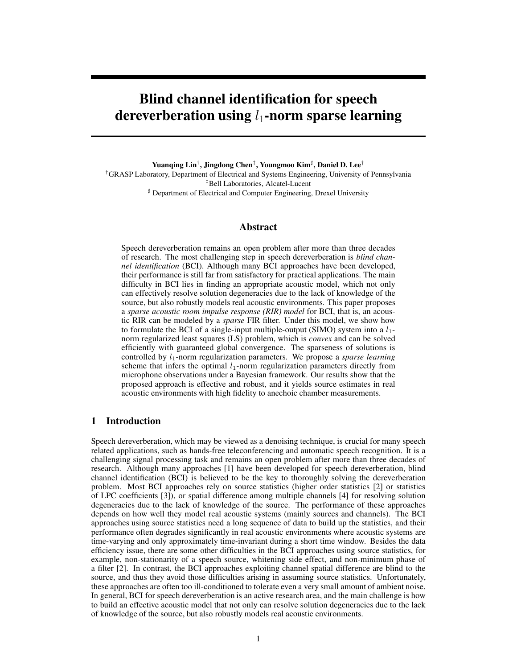# **Blind channel identification for speech dereverberation using l<sub>1</sub>-norm sparse learning**

**Yuanqing Lin**† **, Jingdong Chen**‡ **, Youngmoo Kim**<sup>♯</sup> **, Daniel D. Lee**†

†GRASP Laboratory, Department of Electrical and Systems Engineering, University of Pennsylvania ‡Bell Laboratories, Alcatel-Lucent

<sup>♯</sup> Department of Electrical and Computer Engineering, Drexel University

# **Abstract**

Speech dereverberation remains an open problem after more than three decades of research. The most challenging step in speech dereverberation is *blind channel identification* (BCI). Although many BCI approaches have been developed, their performance is still far from satisfactory for practical applications. The main difficulty in BCI lies in finding an appropriate acoustic model, which not only can effectively resolve solution degeneracies due to the lack of knowledge of the source, but also robustly models real acoustic environments. This paper proposes a *sparse acoustic room impulse response (RIR) model* for BCI, that is, an acoustic RIR can be modeled by a *sparse* FIR filter. Under this model, we show how to formulate the BCI of a single-input multiple-output (SIMO) system into a  $l_1$ norm regularized least squares (LS) problem, which is *convex* and can be solved efficiently with guaranteed global convergence. The sparseness of solutions is controlled by  $l_1$ -norm regularization parameters. We propose a *sparse learning* scheme that infers the optimal  $l_1$ -norm regularization parameters directly from microphone observations under a Bayesian framework. Our results show that the proposed approach is effective and robust, and it yields source estimates in real acoustic environments with high fidelity to anechoic chamber measurements.

## **1 Introduction**

Speech dereverberation, which may be viewed as a denoising technique, is crucial for many speech related applications, such as hands-free teleconferencing and automatic speech recognition. It is a challenging signal processing task and remains an open problem after more than three decades of research. Although many approaches [1] have been developed for speech dereverberation, blind channel identification (BCI) is believed to be the key to thoroughly solving the dereverberation problem. Most BCI approaches rely on source statistics (higher order statistics [2] or statistics of LPC coefficients [3]), or spatial difference among multiple channels [4] for resolving solution degeneracies due to the lack of knowledge of the source. The performance of these approaches depends on how well they model real acoustic systems (mainly sources and channels). The BCI approaches using source statistics need a long sequence of data to build up the statistics, and their performance often degrades significantly in real acoustic environments where acoustic systems are time-varying and only approximately time-invariant during a short time window. Besides the data efficiency issue, there are some other difficulties in the BCI approaches using source statistics, for example, non-stationarity of a speech source, whitening side effect, and non-minimum phase of a filter [2]. In contrast, the BCI approaches exploiting channel spatial difference are blind to the source, and thus they avoid those difficulties arising in assuming source statistics. Unfortunately, these approaches are often too ill-conditioned to tolerate even a very small amount of ambient noise. In general, BCI for speech dereverberation is an active research area, and the main challenge is how to build an effective acoustic model that not only can resolve solution degeneracies due to the lack of knowledge of the source, but also robustly models real acoustic environments.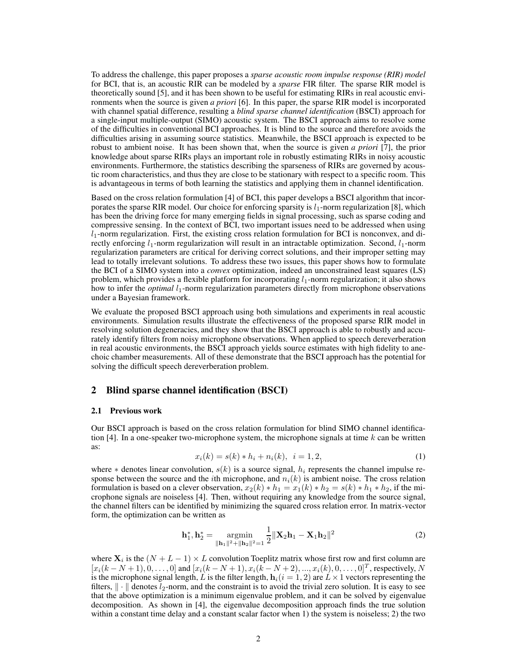To address the challenge, this paper proposes a *sparse acoustic room impulse response (RIR) model* for BCI, that is, an acoustic RIR can be modeled by a *sparse* FIR filter. The sparse RIR model is theoretically sound [5], and it has been shown to be useful for estimating RIRs in real acoustic environments when the source is given *a priori* [6]. In this paper, the sparse RIR model is incorporated with channel spatial difference, resulting a *blind sparse channel identification* (BSCI) approach for a single-input multiple-output (SIMO) acoustic system. The BSCI approach aims to resolve some of the difficulties in conventional BCI approaches. It is blind to the source and therefore avoids the difficulties arising in assuming source statistics. Meanwhile, the BSCI approach is expected to be robust to ambient noise. It has been shown that, when the source is given *a priori* [7], the prior knowledge about sparse RIRs plays an important role in robustly estimating RIRs in noisy acoustic environments. Furthermore, the statistics describing the sparseness of RIRs are governed by acoustic room characteristics, and thus they are close to be stationary with respect to a specific room. This is advantageous in terms of both learning the statistics and applying them in channel identification.

Based on the cross relation formulation [4] of BCI, this paper develops a BSCI algorithm that incorporates the sparse RIR model. Our choice for enforcing sparsity is  $l_1$ -norm regularization [8], which has been the driving force for many emerging fields in signal processing, such as sparse coding and compressive sensing. In the context of BCI, two important issues need to be addressed when using  $l_1$ -norm regularization. First, the existing cross relation formulation for BCI is nonconvex, and directly enforcing  $l_1$ -norm regularization will result in an intractable optimization. Second,  $l_1$ -norm regularization parameters are critical for deriving correct solutions, and their improper setting may lead to totally irrelevant solutions. To address these two issues, this paper shows how to formulate the BCI of a SIMO system into a *convex* optimization, indeed an unconstrained least squares (LS) problem, which provides a flexible platform for incorporating  $l_1$ -norm regularization; it also shows how to infer the *optimal* l<sub>1</sub>-norm regularization parameters directly from microphone observations under a Bayesian framework.

We evaluate the proposed BSCI approach using both simulations and experiments in real acoustic environments. Simulation results illustrate the effectiveness of the proposed sparse RIR model in resolving solution degeneracies, and they show that the BSCI approach is able to robustly and accurately identify filters from noisy microphone observations. When applied to speech dereverberation in real acoustic environments, the BSCI approach yields source estimates with high fidelity to anechoic chamber measurements. All of these demonstrate that the BSCI approach has the potential for solving the difficult speech dereverberation problem.

## **2 Blind sparse channel identification (BSCI)**

#### **2.1 Previous work**

Our BSCI approach is based on the cross relation formulation for blind SIMO channel identification [4]. In a one-speaker two-microphone system, the microphone signals at time  $k$  can be written as:

$$
x_i(k) = s(k) * h_i + n_i(k), \quad i = 1, 2,
$$
\n(1)

where  $*$  denotes linear convolution,  $s(k)$  is a source signal,  $h_i$  represents the channel impulse response between the source and the *i*th microphone, and  $n<sub>i</sub>(k)$  is ambient noise. The cross relation formulation is based on a clever observation,  $x_2(k) * h_1 = x_1(k) * h_2 = s(k) * h_1 * h_2$ , if the microphone signals are noiseless [4]. Then, without requiring any knowledge from the source signal, the channel filters can be identified by minimizing the squared cross relation error. In matrix-vector form, the optimization can be written as

$$
\mathbf{h}_{1}^{*}, \mathbf{h}_{2}^{*} = \underset{\|\mathbf{h}_{1}\|^{2} + \|\mathbf{h}_{2}\|^{2} = 1}{\operatorname{argmin}} \frac{1}{2} \|\mathbf{X}_{2}\mathbf{h}_{1} - \mathbf{X}_{1}\mathbf{h}_{2}\|^{2}
$$
(2)

where  $\mathbf{X}_i$  is the  $(N + L - 1) \times L$  convolution Toeplitz matrix whose first row and first column are  $[x_i(k-N+1), 0, \ldots, 0]$  and  $[x_i(k-N+1), x_i(k-N+2), \ldots, x_i(k), 0, \ldots, 0]^T$ , respectively, N is the microphone signal length, L is the filter length,  $h_i(i = 1, 2)$  are  $L \times 1$  vectors representing the filters,  $\|\cdot\|$  denotes  $l_2$ -norm, and the constraint is to avoid the trivial zero solution. It is easy to see that the above optimization is a minimum eigenvalue problem, and it can be solved by eigenvalue decomposition. As shown in [4], the eigenvalue decomposition approach finds the true solution within a constant time delay and a constant scalar factor when 1) the system is noiseless; 2) the two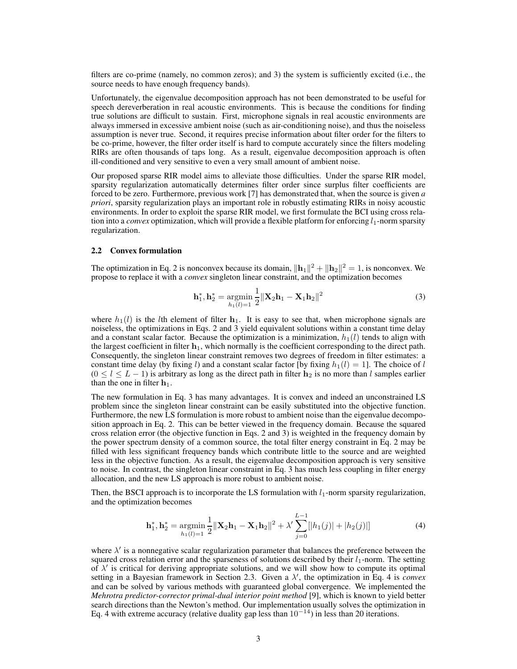filters are co-prime (namely, no common zeros); and 3) the system is sufficiently excited (i.e., the source needs to have enough frequency bands).

Unfortunately, the eigenvalue decomposition approach has not been demonstrated to be useful for speech dereverberation in real acoustic environments. This is because the conditions for finding true solutions are difficult to sustain. First, microphone signals in real acoustic environments are always immersed in excessive ambient noise (such as air-conditioning noise), and thus the noiseless assumption is never true. Second, it requires precise information about filter order for the filters to be co-prime, however, the filter order itself is hard to compute accurately since the filters modeling RIRs are often thousands of taps long. As a result, eigenvalue decomposition approach is often ill-conditioned and very sensitive to even a very small amount of ambient noise.

Our proposed sparse RIR model aims to alleviate those difficulties. Under the sparse RIR model, sparsity regularization automatically determines filter order since surplus filter coefficients are forced to be zero. Furthermore, previous work [7] has demonstrated that, when the source is given *a priori*, sparsity regularization plays an important role in robustly estimating RIRs in noisy acoustic environments. In order to exploit the sparse RIR model, we first formulate the BCI using cross relation into a *convex* optimization, which will provide a flexible platform for enforcing  $l_1$ -norm sparsity regularization.

## **2.2 Convex formulation**

The optimization in Eq. 2 is nonconvex because its domain,  $\|\mathbf{h}_1\|^2 + \|\mathbf{h}_2\|^2 = 1$ , is nonconvex. We propose to replace it with a *convex* singleton linear constraint, and the optimization becomes

$$
\mathbf{h}_{1}^{*}, \mathbf{h}_{2}^{*} = \underset{h_{1}(l)=1}{\text{argmin}} \frac{1}{2} ||\mathbf{X}_{2}\mathbf{h}_{1} - \mathbf{X}_{1}\mathbf{h}_{2}||^{2}
$$
(3)

where  $h_1(l)$  is the *l*th element of filter  $h_1$ . It is easy to see that, when microphone signals are noiseless, the optimizations in Eqs. 2 and 3 yield equivalent solutions within a constant time delay and a constant scalar factor. Because the optimization is a minimization,  $h_1(l)$  tends to align with the largest coefficient in filter  $h_1$ , which normally is the coefficient corresponding to the direct path. Consequently, the singleton linear constraint removes two degrees of freedom in filter estimates: a constant time delay (by fixing l) and a constant scalar factor [by fixing  $h_1(l) = 1$ ]. The choice of l  $(0 \le l \le L - 1)$  is arbitrary as long as the direct path in filter  $h_2$  is no more than l samples earlier than the one in filter  $h_1$ .

The new formulation in Eq. 3 has many advantages. It is convex and indeed an unconstrained LS problem since the singleton linear constraint can be easily substituted into the objective function. Furthermore, the new LS formulation is more robust to ambient noise than the eigenvalue decomposition approach in Eq. 2. This can be better viewed in the frequency domain. Because the squared cross relation error (the objective function in Eqs. 2 and 3) is weighted in the frequency domain by the power spectrum density of a common source, the total filter energy constraint in Eq. 2 may be filled with less significant frequency bands which contribute little to the source and are weighted less in the objective function. As a result, the eigenvalue decomposition approach is very sensitive to noise. In contrast, the singleton linear constraint in Eq. 3 has much less coupling in filter energy allocation, and the new LS approach is more robust to ambient noise.

Then, the BSCI approach is to incorporate the LS formulation with  $l_1$ -norm sparsity regularization, and the optimization becomes

$$
\mathbf{h}_1^*, \mathbf{h}_2^* = \underset{h_1(l)=1}{\text{argmin}} \frac{1}{2} ||\mathbf{X}_2 \mathbf{h}_1 - \mathbf{X}_1 \mathbf{h}_2||^2 + \lambda' \sum_{j=0}^{L-1} [|h_1(j)| + |h_2(j)|] \tag{4}
$$

where  $\lambda'$  is a nonnegative scalar regularization parameter that balances the preference between the squared cross relation error and the sparseness of solutions described by their  $l_1$ -norm. The setting of  $\lambda'$  is critical for deriving appropriate solutions, and we will show how to compute its optimal setting in a Bayesian framework in Section 2.3. Given a λ ′ , the optimization in Eq. 4 is *convex* and can be solved by various methods with guaranteed global convergence. We implemented the *Mehrotra predictor-corrector primal-dual interior point method* [9], which is known to yield better search directions than the Newton's method. Our implementation usually solves the optimization in Eq. 4 with extreme accuracy (relative duality gap less than  $10^{-14}$ ) in less than 20 iterations.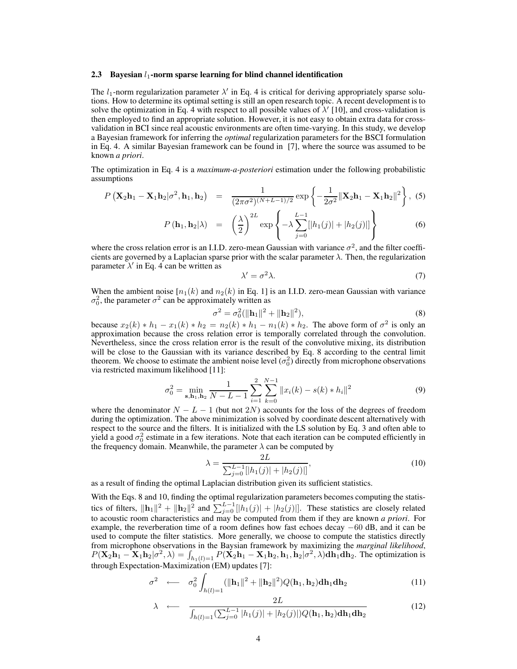### **2.3** Bayesian  $l_1$ -norm sparse learning for blind channel identification

The  $l_1$ -norm regularization parameter  $\lambda'$  in Eq. 4 is critical for deriving appropriately sparse solutions. How to determine its optimal setting is still an open research topic. A recent development is to solve the optimization in Eq. 4 with respect to all possible values of  $\lambda'$  [10], and cross-validation is then employed to find an appropriate solution. However, it is not easy to obtain extra data for crossvalidation in BCI since real acoustic environments are often time-varying. In this study, we develop a Bayesian framework for inferring the *optimal* regularization parameters for the BSCI formulation in Eq. 4. A similar Bayesian framework can be found in [7], where the source was assumed to be known *a priori*.

The optimization in Eq. 4 is a *maximum-a-posteriori* estimation under the following probabilistic assumptions

$$
P\left(\mathbf{X}_{2}\mathbf{h}_{1}-\mathbf{X}_{1}\mathbf{h}_{2}|\sigma^{2},\mathbf{h}_{1},\mathbf{h}_{2}\right) = \frac{1}{(2\pi\sigma^{2})^{(N+L-1)/2}}\exp\left\{-\frac{1}{2\sigma^{2}}\|\mathbf{X}_{2}\mathbf{h}_{1}-\mathbf{X}_{1}\mathbf{h}_{2}\|^{2}\right\},\tag{5}
$$

$$
P(\mathbf{h}_1, \mathbf{h}_2 | \lambda) = \left( \frac{\lambda}{2} \right)^{2L} \exp \left\{ -\lambda \sum_{j=0}^{L-1} [|h_1(j)| + |h_2(j)|] \right\}
$$
(6)

where the cross relation error is an I.I.D. zero-mean Gaussian with variance  $\sigma^2$ , and the filter coefficients are governed by a Laplacian sparse prior with the scalar parameter  $\lambda$ . Then, the regularization parameter  $\lambda'$  in Eq. 4 can be written as

$$
\lambda' = \sigma^2 \lambda. \tag{7}
$$

When the ambient noise  $[n_1(k)]$  and  $n_2(k)$  in Eq. 1] is an I.I.D. zero-mean Gaussian with variance  $\sigma_0^2$ , the parameter  $\sigma^2$  can be approximately written as

$$
\sigma^2 = \sigma_0^2 (\|\mathbf{h}_1\|^2 + \|\mathbf{h}_2\|^2),\tag{8}
$$

because  $x_2(k) * h_1 - x_1(k) * h_2 = n_2(k) * h_1 - n_1(k) * h_2$ . The above form of  $\sigma^2$  is only an approximation because the cross relation error is temporally correlated through the convolution. Nevertheless, since the cross relation error is the result of the convolutive mixing, its distribution will be close to the Gaussian with its variance described by Eq. 8 according to the central limit theorem. We choose to estimate the ambient noise level  $(\sigma_0^2)$  directly from microphone observations via restricted maximum likelihood [11]:

$$
\sigma_0^2 = \min_{\mathbf{s}, \mathbf{h}_1, \mathbf{h}_2} \frac{1}{N - L - 1} \sum_{i=1}^2 \sum_{k=0}^{N-1} ||x_i(k) - s(k) * h_i||^2
$$
(9)

where the denominator  $N - L - 1$  (but not 2N) accounts for the loss of the degrees of freedom during the optimization. The above minimization is solved by coordinate descent alternatively with respect to the source and the filters. It is initialized with the LS solution by Eq. 3 and often able to yield a good  $\sigma_0^2$  estimate in a few iterations. Note that each iteration can be computed efficiently in the frequency domain. Meanwhile, the parameter  $\lambda$  can be computed by

$$
\lambda = \frac{2L}{\sum_{j=0}^{L-1} [|h_1(j)| + |h_2(j)|]},
$$
\n(10)

as a result of finding the optimal Laplacian distribution given its sufficient statistics.

With the Eqs. 8 and 10, finding the optimal regularization parameters becomes computing the statistics of filters,  $\|\mathbf{h}_1\|^2 + \|\mathbf{h}_2\|^2$  and  $\sum_{j=0}^{L-1} [|h_1(j)| + |h_2(j)|]$ . These statistics are closely related to acoustic room characteristics and may be computed from them if they are known *a priori*. For example, the reverberation time of a room defines how fast echoes decay −60 dB, and it can be used to compute the filter statistics. More generally, we choose to compute the statistics directly from microphone observations in the Baysian framework by maximizing the *marginal likelihood*,  $P(\mathbf{X}_2 \mathbf{h}_1 - \mathbf{X}_1 \mathbf{h}_2 | \sigma^2, \lambda) = \int_{h_1(l) = 1} P(\mathbf{X}_2 \mathbf{h}_1 - \mathbf{X}_1 \mathbf{h}_2, \mathbf{h}_1, \mathbf{h}_2 | \sigma^2, \lambda) d\mathbf{h}_1 d\mathbf{h}_2$ . The optimization is through Expectation-Maximization (EM) updates [7]:

$$
\sigma^2 \quad \longleftarrow \quad \sigma_0^2 \int_{h(l)=1} (\|\mathbf{h}_1\|^2 + \|\mathbf{h}_2\|^2) Q(\mathbf{h}_1, \mathbf{h}_2) \mathbf{d} \mathbf{h}_1 \mathbf{d} \mathbf{h}_2 \tag{11}
$$

$$
\lambda \longleftarrow \frac{2L}{\int_{h(l)=1} \left(\sum_{j=0}^{L-1} |h_1(j)| + |h_2(j)|\right) Q(\mathbf{h}_1, \mathbf{h}_2) \mathbf{dh}_1 \mathbf{dh}_2}
$$
(12)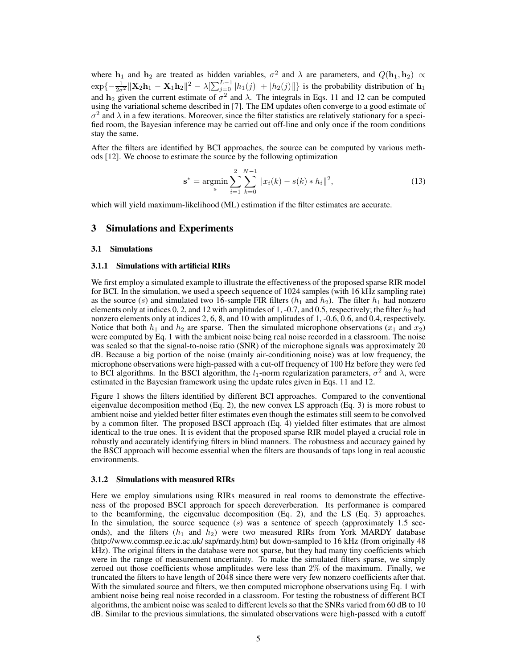where  $\mathbf{h}_1$  and  $\mathbf{h}_2$  are treated as hidden variables,  $\sigma^2$  and  $\lambda$  are parameters, and  $Q(\mathbf{h}_1, \mathbf{h}_2) \propto$  $\exp\{-\frac{1}{2\sigma^2} \|\mathbf{X}_2\mathbf{h}_1 - \mathbf{X}_1\mathbf{h}_2\|^2 - \lambda[\sum_{j=0}^{L-1} |h_1(j)| + |h_2(j)|]\}$  is the probability distribution of  $\mathbf{h}_1$ and  $h_2$  given the current estimate of  $\sigma^2$  and  $\lambda$ . The integrals in Eqs. 11 and 12 can be computed using the variational scheme described in [7]. The EM updates often converge to a good estimate of  $\sigma^2$  and  $\lambda$  in a few iterations. Moreover, since the filter statistics are relatively stationary for a specified room, the Bayesian inference may be carried out off-line and only once if the room conditions stay the same.

After the filters are identified by BCI approaches, the source can be computed by various methods [12]. We choose to estimate the source by the following optimization

$$
\mathbf{s}^* = \underset{\mathbf{s}}{\operatorname{argmin}} \sum_{i=1}^2 \sum_{k=0}^{N-1} ||x_i(k) - s(k) * h_i||^2,
$$
 (13)

which will yield maximum-likelihood (ML) estimation if the filter estimates are accurate.

## **3 Simulations and Experiments**

#### **3.1 Simulations**

### **3.1.1 Simulations with artificial RIRs**

We first employ a simulated example to illustrate the effectiveness of the proposed sparse RIR model for BCI. In the simulation, we used a speech sequence of 1024 samples (with 16 kHz sampling rate) as the source (s) and simulated two 16-sample FIR filters  $(h_1$  and  $h_2)$ . The filter  $h_1$  had nonzero elements only at indices 0, 2, and 12 with amplitudes of 1, -0.7, and 0.5, respectively; the filter  $h_2$  had nonzero elements only at indices 2, 6, 8, and 10 with amplitudes of 1, -0.6, 0.6, and 0.4, respectively. Notice that both  $h_1$  and  $h_2$  are sparse. Then the simulated microphone observations ( $x_1$  and  $x_2$ ) were computed by Eq. 1 with the ambient noise being real noise recorded in a classroom. The noise was scaled so that the signal-to-noise ratio (SNR) of the microphone signals was approximately 20 dB. Because a big portion of the noise (mainly air-conditioning noise) was at low frequency, the microphone observations were high-passed with a cut-off frequency of 100 Hz before they were fed to BCI algorithms. In the BSCI algorithm, the  $l_1$ -norm regularization parameters,  $\sigma^2$  and  $\lambda$ , were estimated in the Bayesian framework using the update rules given in Eqs. 11 and 12.

Figure 1 shows the filters identified by different BCI approaches. Compared to the conventional eigenvalue decomposition method (Eq. 2), the new convex LS approach (Eq. 3) is more robust to ambient noise and yielded better filter estimates even though the estimates still seem to be convolved by a common filter. The proposed BSCI approach (Eq. 4) yielded filter estimates that are almost identical to the true ones. It is evident that the proposed sparse RIR model played a crucial role in robustly and accurately identifying filters in blind manners. The robustness and accuracy gained by the BSCI approach will become essential when the filters are thousands of taps long in real acoustic environments.

#### **3.1.2 Simulations with measured RIRs**

Here we employ simulations using RIRs measured in real rooms to demonstrate the effectiveness of the proposed BSCI approach for speech dereverberation. Its performance is compared to the beamforming, the eigenvalue decomposition (Eq. 2), and the LS (Eq. 3) approaches. In the simulation, the source sequence  $(s)$  was a sentence of speech (approximately 1.5 seconds), and the filters  $(h_1 \text{ and } h_2)$  were two measured RIRs from York MARDY database (http://www.commsp.ee.ic.ac.uk/ sap/mardy.htm) but down-sampled to 16 kHz (from originally 48 kHz). The original filters in the database were not sparse, but they had many tiny coefficients which were in the range of measurement uncertainty. To make the simulated filters sparse, we simply zeroed out those coefficients whose amplitudes were less than 2% of the maximum. Finally, we truncated the filters to have length of 2048 since there were very few nonzero coefficients after that. With the simulated source and filters, we then computed microphone observations using Eq. 1 with ambient noise being real noise recorded in a classroom. For testing the robustness of different BCI algorithms, the ambient noise was scaled to different levels so that the SNRs varied from 60 dB to 10 dB. Similar to the previous simulations, the simulated observations were high-passed with a cutoff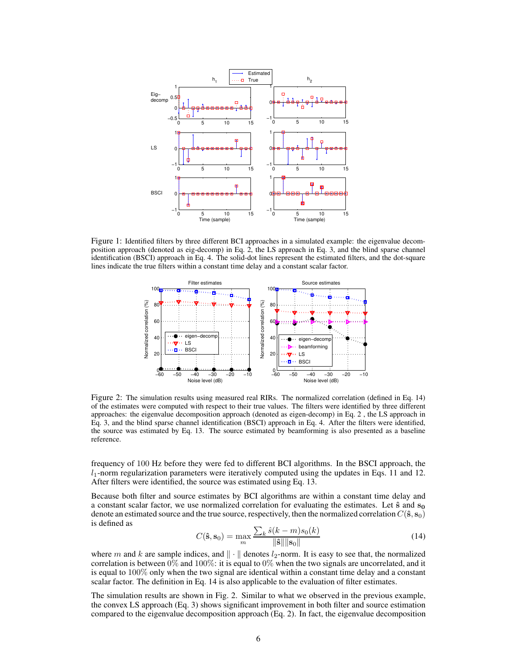

Figure 1: Identified filters by three different BCI approaches in a simulated example: the eigenvalue decomposition approach (denoted as eig-decomp) in Eq. 2, the LS approach in Eq. 3, and the blind sparse channel identification (BSCI) approach in Eq. 4. The solid-dot lines represent the estimated filters, and the dot-square lines indicate the true filters within a constant time delay and a constant scalar factor.



Figure 2: The simulation results using measured real RIRs. The normalized correlation (defined in Eq. 14) of the estimates were computed with respect to their true values. The filters were identified by three different approaches: the eigenvalue decomposition approach (denoted as eigen-decomp) in Eq. 2 , the LS approach in Eq. 3, and the blind sparse channel identification (BSCI) approach in Eq. 4. After the filters were identified, the source was estimated by Eq. 13. The source estimated by beamforming is also presented as a baseline reference.

frequency of 100 Hz before they were fed to different BCI algorithms. In the BSCI approach, the  $l_1$ -norm regularization parameters were iteratively computed using the updates in Eqs. 11 and 12. After filters were identified, the source was estimated using Eq. 13.

Because both filter and source estimates by BCI algorithms are within a constant time delay and a constant scalar factor, we use normalized correlation for evaluating the estimates. Let  $\hat{s}$  and  $s_0$ denote an estimated source and the true source, respectively, then the normalized correlation  $C(\hat{s}, s_0)$ is defined as

$$
C(\hat{\mathbf{s}}, \mathbf{s}_0) = \max_{m} \frac{\sum_{k} \hat{s}(k-m)s_0(k)}{\|\hat{\mathbf{s}}\| \|\mathbf{s}_0\|} \tag{14}
$$

where m and k are sample indices, and  $\|\cdot\|$  denotes  $l_2$ -norm. It is easy to see that, the normalized correlation is between  $0\%$  and  $100\%$ : it is equal to  $0\%$  when the two signals are uncorrelated, and it is equal to 100% only when the two signal are identical within a constant time delay and a constant scalar factor. The definition in Eq. 14 is also applicable to the evaluation of filter estimates.

The simulation results are shown in Fig. 2. Similar to what we observed in the previous example, the convex LS approach (Eq. 3) shows significant improvement in both filter and source estimation compared to the eigenvalue decomposition approach (Eq. 2). In fact, the eigenvalue decomposition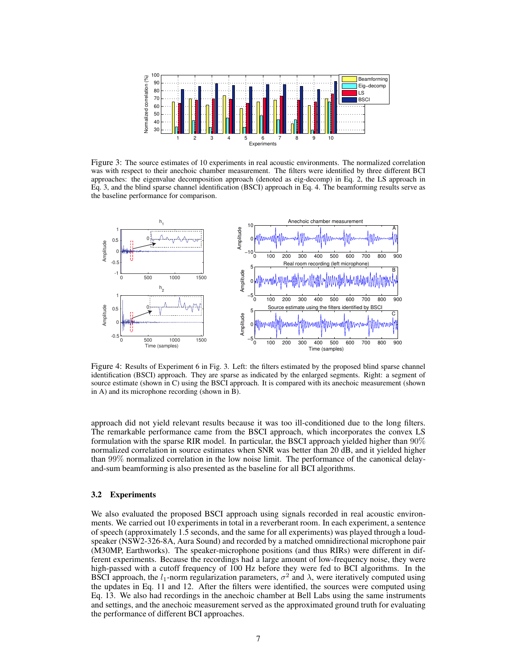

Figure 3: The source estimates of 10 experiments in real acoustic environments. The normalized correlation was with respect to their anechoic chamber measurement. The filters were identified by three different BCI approaches: the eigenvalue decomposition approach (denoted as eig-decomp) in Eq. 2, the LS approach in Eq. 3, and the blind sparse channel identification (BSCI) approach in Eq. 4. The beamforming results serve as the baseline performance for comparison.



Figure 4: Results of Experiment 6 in Fig. 3. Left: the filters estimated by the proposed blind sparse channel identification (BSCI) approach. They are sparse as indicated by the enlarged segments. Right: a segment of source estimate (shown in C) using the BSCI approach. It is compared with its anechoic measurement (shown in A) and its microphone recording (shown in B).

approach did not yield relevant results because it was too ill-conditioned due to the long filters. The remarkable performance came from the BSCI approach, which incorporates the convex LS formulation with the sparse RIR model. In particular, the BSCI approach yielded higher than  $90\%$ normalized correlation in source estimates when SNR was better than 20 dB, and it yielded higher than 99% normalized correlation in the low noise limit. The performance of the canonical delayand-sum beamforming is also presented as the baseline for all BCI algorithms.

#### **3.2 Experiments**

We also evaluated the proposed BSCI approach using signals recorded in real acoustic environments. We carried out 10 experiments in total in a reverberant room. In each experiment, a sentence of speech (approximately 1.5 seconds, and the same for all experiments) was played through a loudspeaker (NSW2-326-8A, Aura Sound) and recorded by a matched omnidirectional microphone pair (M30MP, Earthworks). The speaker-microphone positions (and thus RIRs) were different in different experiments. Because the recordings had a large amount of low-frequency noise, they were high-passed with a cutoff frequency of 100 Hz before they were fed to BCI algorithms. In the BSCI approach, the  $l_1$ -norm regularization parameters,  $\sigma^2$  and  $\lambda$ , were iteratively computed using the updates in Eq. 11 and 12. After the filters were identified, the sources were computed using Eq. 13. We also had recordings in the anechoic chamber at Bell Labs using the same instruments and settings, and the anechoic measurement served as the approximated ground truth for evaluating the performance of different BCI approaches.